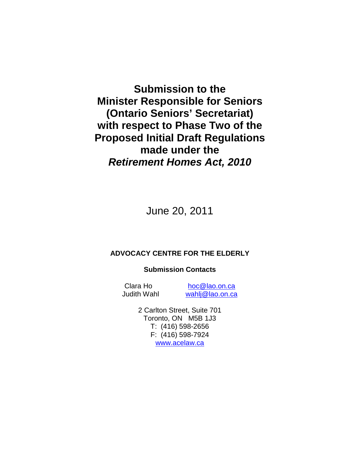**Submission to the Minister Responsible for Seniors (Ontario Seniors' Secretariat) with respect to Phase Two of the Proposed Initial Draft Regulations made under the Retirement Homes Act, 2010**

June 20, 2011

#### **ADVOCACY CENTRE FOR THE ELDERLY**

#### **Submission Contacts**

Clara Ho hoc@lao.on.ca Judith Wahl wahlj@lao.on.ca

> 2 Carlton Street, Suite 701 Toronto, ON M5B 1J3 T: (416) 598-2656 F: (416) 598-7924 www.acelaw.ca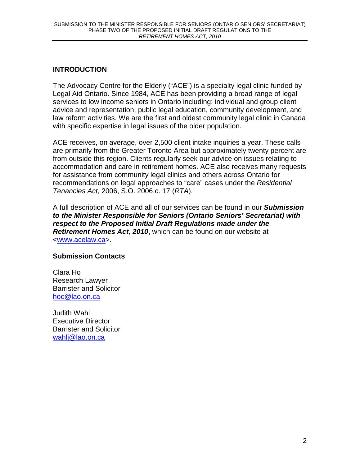# **INTRODUCTION**

The Advocacy Centre for the Elderly ("ACE") is a specialty legal clinic funded by Legal Aid Ontario. Since 1984, ACE has been providing a broad range of legal services to low income seniors in Ontario including: individual and group client advice and representation, public legal education, community development, and law reform activities. We are the first and oldest community legal clinic in Canada with specific expertise in legal issues of the older population.

ACE receives, on average, over 2,500 client intake inquiries a year. These calls are primarily from the Greater Toronto Area but approximately twenty percent are from outside this region. Clients regularly seek our advice on issues relating to accommodation and care in retirement homes. ACE also receives many requests for assistance from community legal clinics and others across Ontario for recommendations on legal approaches to "care" cases under the Residential Tenancies Act, 2006, S.O. 2006 c. 17 (RTA).

A full description of ACE and all of our services can be found in our **Submission to the Minister Responsible for Seniors (Ontario Seniors' Secretariat) with respect to the Proposed Initial Draft Regulations made under the Retirement Homes Act, 2010,** which can be found on our website at <www.acelaw.ca>.

## **Submission Contacts**

Clara Ho Research Lawyer Barrister and Solicitor hoc@lao.on.ca

Judith Wahl Executive Director Barrister and Solicitor wahlj@lao.on.ca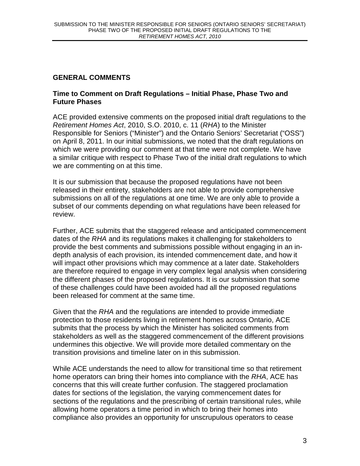# **GENERAL COMMENTS**

### **Time to Comment on Draft Regulations – Initial Phase, Phase Two and Future Phases**

ACE provided extensive comments on the proposed initial draft regulations to the Retirement Homes Act, 2010, S.O. 2010, c. 11 (RHA) to the Minister Responsible for Seniors ("Minister") and the Ontario Seniors' Secretariat ("OSS") on April 8, 2011. In our initial submissions, we noted that the draft regulations on which we were providing our comment at that time were not complete. We have a similar critique with respect to Phase Two of the initial draft regulations to which we are commenting on at this time.

It is our submission that because the proposed regulations have not been released in their entirety, stakeholders are not able to provide comprehensive submissions on all of the regulations at one time. We are only able to provide a subset of our comments depending on what regulations have been released for review.

Further, ACE submits that the staggered release and anticipated commencement dates of the RHA and its regulations makes it challenging for stakeholders to provide the best comments and submissions possible without engaging in an indepth analysis of each provision, its intended commencement date, and how it will impact other provisions which may commence at a later date. Stakeholders are therefore required to engage in very complex legal analysis when considering the different phases of the proposed regulations. It is our submission that some of these challenges could have been avoided had all the proposed regulations been released for comment at the same time.

Given that the RHA and the regulations are intended to provide immediate protection to those residents living in retirement homes across Ontario, ACE submits that the process by which the Minister has solicited comments from stakeholders as well as the staggered commencement of the different provisions undermines this objective. We will provide more detailed commentary on the transition provisions and timeline later on in this submission.

While ACE understands the need to allow for transitional time so that retirement home operators can bring their homes into compliance with the RHA, ACE has concerns that this will create further confusion. The staggered proclamation dates for sections of the legislation, the varying commencement dates for sections of the regulations and the prescribing of certain transitional rules, while allowing home operators a time period in which to bring their homes into compliance also provides an opportunity for unscrupulous operators to cease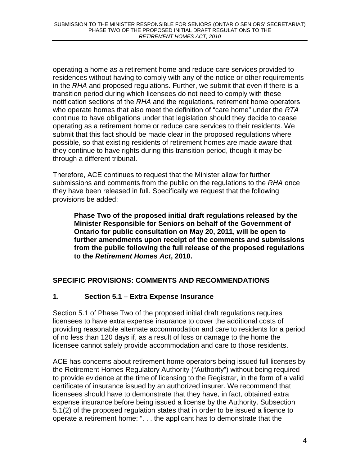operating a home as a retirement home and reduce care services provided to residences without having to comply with any of the notice or other requirements in the RHA and proposed regulations. Further, we submit that even if there is a transition period during which licensees do not need to comply with these notification sections of the RHA and the regulations, retirement home operators who operate homes that also meet the definition of "care home" under the RTA continue to have obligations under that legislation should they decide to cease operating as a retirement home or reduce care services to their residents. We submit that this fact should be made clear in the proposed regulations where possible, so that existing residents of retirement homes are made aware that they continue to have rights during this transition period, though it may be through a different tribunal.

Therefore, ACE continues to request that the Minister allow for further submissions and comments from the public on the regulations to the RHA once they have been released in full. Specifically we request that the following provisions be added:

**Phase Two of the proposed initial draft regulations released by the Minister Responsible for Seniors on behalf of the Government of Ontario for public consultation on May 20, 2011, will be open to further amendments upon receipt of the comments and submissions from the public following the full release of the proposed regulations to the Retirement Homes Act, 2010.** 

# **SPECIFIC PROVISIONS: COMMENTS AND RECOMMENDATIONS**

# **1. Section 5.1 – Extra Expense Insurance**

Section 5.1 of Phase Two of the proposed initial draft regulations requires licensees to have extra expense insurance to cover the additional costs of providing reasonable alternate accommodation and care to residents for a period of no less than 120 days if, as a result of loss or damage to the home the licensee cannot safely provide accommodation and care to those residents.

ACE has concerns about retirement home operators being issued full licenses by the Retirement Homes Regulatory Authority ("Authority") without being required to provide evidence at the time of licensing to the Registrar, in the form of a valid certificate of insurance issued by an authorized insurer. We recommend that licensees should have to demonstrate that they have, in fact, obtained extra expense insurance before being issued a license by the Authority. Subsection 5.1(2) of the proposed regulation states that in order to be issued a licence to operate a retirement home: ". . . the applicant has to demonstrate that the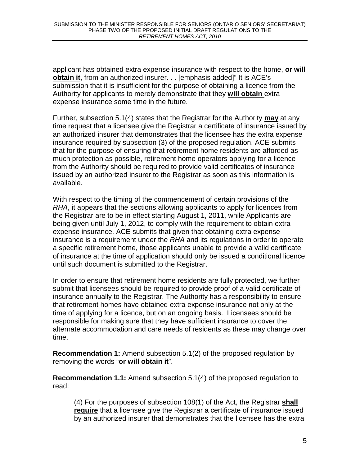applicant has obtained extra expense insurance with respect to the home, **or will obtain it**, from an authorized insurer. . . [emphasis added]" It is ACE's submission that it is insufficient for the purpose of obtaining a licence from the Authority for applicants to merely demonstrate that they **will obtain** extra expense insurance some time in the future.

Further, subsection 5.1(4) states that the Registrar for the Authority **may** at any time request that a licensee give the Registrar a certificate of insurance issued by an authorized insurer that demonstrates that the licensee has the extra expense insurance required by subsection (3) of the proposed regulation. ACE submits that for the purpose of ensuring that retirement home residents are afforded as much protection as possible, retirement home operators applying for a licence from the Authority should be required to provide valid certificates of insurance issued by an authorized insurer to the Registrar as soon as this information is available.

With respect to the timing of the commencement of certain provisions of the RHA, it appears that the sections allowing applicants to apply for licences from the Registrar are to be in effect starting August 1, 2011, while Applicants are being given until July 1, 2012, to comply with the requirement to obtain extra expense insurance. ACE submits that given that obtaining extra expense insurance is a requirement under the RHA and its regulations in order to operate a specific retirement home, those applicants unable to provide a valid certificate of insurance at the time of application should only be issued a conditional licence until such document is submitted to the Registrar.

In order to ensure that retirement home residents are fully protected, we further submit that licensees should be required to provide proof of a valid certificate of insurance annually to the Registrar. The Authority has a responsibility to ensure that retirement homes have obtained extra expense insurance not only at the time of applying for a licence, but on an ongoing basis. Licensees should be responsible for making sure that they have sufficient insurance to cover the alternate accommodation and care needs of residents as these may change over time.

**Recommendation 1:** Amend subsection 5.1(2) of the proposed regulation by removing the words "**or will obtain it**".

**Recommendation 1.1:** Amend subsection 5.1(4) of the proposed regulation to read:

(4) For the purposes of subsection 108(1) of the Act, the Registrar **shall require** that a licensee give the Registrar a certificate of insurance issued by an authorized insurer that demonstrates that the licensee has the extra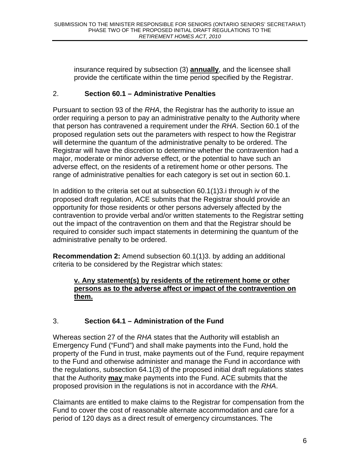insurance required by subsection (3) **annually**, and the licensee shall provide the certificate within the time period specified by the Registrar.

## 2. **Section 60.1 – Administrative Penalties**

Pursuant to section 93 of the RHA, the Registrar has the authority to issue an order requiring a person to pay an administrative penalty to the Authority where that person has contravened a requirement under the RHA. Section 60.1 of the proposed regulation sets out the parameters with respect to how the Registrar will determine the quantum of the administrative penalty to be ordered. The Registrar will have the discretion to determine whether the contravention had a major, moderate or minor adverse effect, or the potential to have such an adverse effect, on the residents of a retirement home or other persons. The range of administrative penalties for each category is set out in section 60.1.

In addition to the criteria set out at subsection 60.1(1)3.i through iv of the proposed draft regulation, ACE submits that the Registrar should provide an opportunity for those residents or other persons adversely affected by the contravention to provide verbal and/or written statements to the Registrar setting out the impact of the contravention on them and that the Registrar should be required to consider such impact statements in determining the quantum of the administrative penalty to be ordered.

**Recommendation 2:** Amend subsection 60.1(1)3. by adding an additional criteria to be considered by the Registrar which states:

### **v. Any statement(s) by residents of the retirement home or other persons as to the adverse affect or impact of the contravention on them.**

# 3. **Section 64.1 – Administration of the Fund**

Whereas section 27 of the RHA states that the Authority will establish an Emergency Fund ("Fund") and shall make payments into the Fund, hold the property of the Fund in trust, make payments out of the Fund, require repayment to the Fund and otherwise administer and manage the Fund in accordance with the regulations, subsection 64.1(3) of the proposed initial draft regulations states that the Authority **may** make payments into the Fund. ACE submits that the proposed provision in the regulations is not in accordance with the RHA.

Claimants are entitled to make claims to the Registrar for compensation from the Fund to cover the cost of reasonable alternate accommodation and care for a period of 120 days as a direct result of emergency circumstances. The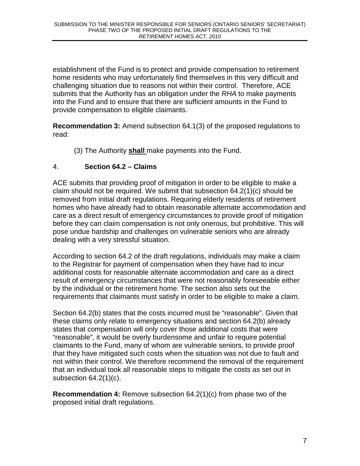establishment of the Fund is to protect and provide compensation to retirement home residents who may unfortunately find themselves in this very difficult and challenging situation due to reasons not within their control. Therefore, ACE submits that the Authority has an obligation under the RHA to make payments into the Fund and to ensure that there are sufficient amounts in the Fund to provide compensation to eligible claimants.

**Recommendation 3:** Amend subsection 64.1(3) of the proposed regulations to read:

(3) The Authority **shall** make payments into the Fund.

# 4. **Section 64.2 – Claims**

ACE submits that providing proof of mitigation in order to be eligible to make a claim should not be required. We submit that subsection 64.2(1)(c) should be removed from initial draft regulations. Requiring elderly residents of retirement homes who have already had to obtain reasonable alternate accommodation and care as a direct result of emergency circumstances to provide proof of mitigation before they can claim compensation is not only onerous, but prohibitive. This will pose undue hardship and challenges on vulnerable seniors who are already dealing with a very stressful situation.

According to section 64.2 of the draft regulations, individuals may make a claim to the Registrar for payment of compensation when they have had to incur additional costs for reasonable alternate accommodation and care as a direct result of emergency circumstances that were not reasonably foreseeable either by the individual or the retirement home. The section also sets out the requirements that claimants must satisfy in order to be eligible to make a claim.

Section 64.2(b) states that the costs incurred must be "reasonable". Given that these claims only relate to emergency situations and section 64.2(b) already states that compensation will only cover those additional costs that were "reasonable", it would be overly burdensome and unfair to require potential claimants to the Fund, many of whom are vulnerable seniors, to provide proof that they have mitigated such costs when the situation was not due to fault and not within their control. We therefore recommend the removal of the requirement that an individual took all reasonable steps to mitigate the costs as set out in subsection 64.2(1)(c).

**Recommendation 4:** Remove subsection 64.2(1)(c) from phase two of the proposed initial draft regulations.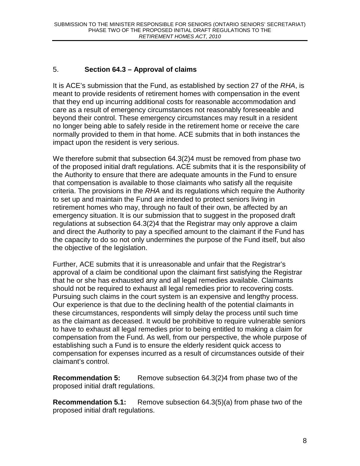# 5. **Section 64.3 – Approval of claims**

It is ACE's submission that the Fund, as established by section 27 of the RHA, is meant to provide residents of retirement homes with compensation in the event that they end up incurring additional costs for reasonable accommodation and care as a result of emergency circumstances not reasonably foreseeable and beyond their control. These emergency circumstances may result in a resident no longer being able to safely reside in the retirement home or receive the care normally provided to them in that home. ACE submits that in both instances the impact upon the resident is very serious.

We therefore submit that subsection 64.3(2)4 must be removed from phase two of the proposed initial draft regulations. ACE submits that it is the responsibility of the Authority to ensure that there are adequate amounts in the Fund to ensure that compensation is available to those claimants who satisfy all the requisite criteria. The provisions in the RHA and its regulations which require the Authority to set up and maintain the Fund are intended to protect seniors living in retirement homes who may, through no fault of their own, be affected by an emergency situation. It is our submission that to suggest in the proposed draft regulations at subsection 64.3(2)4 that the Registrar may only approve a claim and direct the Authority to pay a specified amount to the claimant if the Fund has the capacity to do so not only undermines the purpose of the Fund itself, but also the objective of the legislation.

Further, ACE submits that it is unreasonable and unfair that the Registrar's approval of a claim be conditional upon the claimant first satisfying the Registrar that he or she has exhausted any and all legal remedies available. Claimants should not be required to exhaust all legal remedies prior to recovering costs. Pursuing such claims in the court system is an expensive and lengthy process. Our experience is that due to the declining health of the potential claimants in these circumstances, respondents will simply delay the process until such time as the claimant as deceased. It would be prohibitive to require vulnerable seniors to have to exhaust all legal remedies prior to being entitled to making a claim for compensation from the Fund. As well, from our perspective, the whole purpose of establishing such a Fund is to ensure the elderly resident quick access to compensation for expenses incurred as a result of circumstances outside of their claimant's control.

**Recommendation 5:** Remove subsection 64.3(2)4 from phase two of the proposed initial draft regulations.

**Recommendation 5.1:** Remove subsection 64.3(5)(a) from phase two of the proposed initial draft regulations.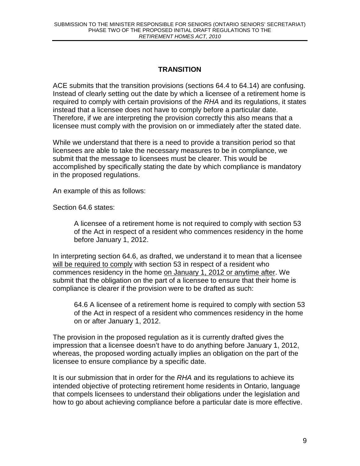# **TRANSITION**

ACE submits that the transition provisions (sections 64.4 to 64.14) are confusing. Instead of clearly setting out the date by which a licensee of a retirement home is required to comply with certain provisions of the RHA and its regulations, it states instead that a licensee does not have to comply before a particular date. Therefore, if we are interpreting the provision correctly this also means that a licensee must comply with the provision on or immediately after the stated date.

While we understand that there is a need to provide a transition period so that licensees are able to take the necessary measures to be in compliance, we submit that the message to licensees must be clearer. This would be accomplished by specifically stating the date by which compliance is mandatory in the proposed regulations.

An example of this as follows:

Section 64.6 states:

A licensee of a retirement home is not required to comply with section 53 of the Act in respect of a resident who commences residency in the home before January 1, 2012.

In interpreting section 64.6, as drafted, we understand it to mean that a licensee will be required to comply with section 53 in respect of a resident who commences residency in the home on January 1, 2012 or anytime after. We submit that the obligation on the part of a licensee to ensure that their home is compliance is clearer if the provision were to be drafted as such:

64.6 A licensee of a retirement home is required to comply with section 53 of the Act in respect of a resident who commences residency in the home on or after January 1, 2012.

The provision in the proposed regulation as it is currently drafted gives the impression that a licensee doesn't have to do anything before January 1, 2012, whereas, the proposed wording actually implies an obligation on the part of the licensee to ensure compliance by a specific date.

It is our submission that in order for the RHA and its regulations to achieve its intended objective of protecting retirement home residents in Ontario, language that compels licensees to understand their obligations under the legislation and how to go about achieving compliance before a particular date is more effective.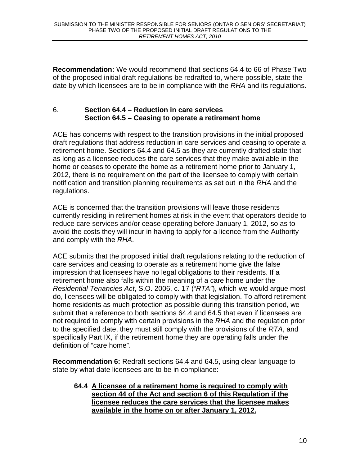**Recommendation:** We would recommend that sections 64.4 to 66 of Phase Two of the proposed initial draft regulations be redrafted to, where possible, state the date by which licensees are to be in compliance with the RHA and its regulations.

## 6. **Section 64.4 – Reduction in care services Section 64.5 – Ceasing to operate a retirement home**

ACE has concerns with respect to the transition provisions in the initial proposed draft regulations that address reduction in care services and ceasing to operate a retirement home. Sections 64.4 and 64.5 as they are currently drafted state that as long as a licensee reduces the care services that they make available in the home or ceases to operate the home as a retirement home prior to January 1, 2012, there is no requirement on the part of the licensee to comply with certain notification and transition planning requirements as set out in the RHA and the regulations.

ACE is concerned that the transition provisions will leave those residents currently residing in retirement homes at risk in the event that operators decide to reduce care services and/or cease operating before January 1, 2012, so as to avoid the costs they will incur in having to apply for a licence from the Authority and comply with the RHA.

ACE submits that the proposed initial draft regulations relating to the reduction of care services and ceasing to operate as a retirement home give the false impression that licensees have no legal obligations to their residents. If a retirement home also falls within the meaning of a care home under the Residential Tenancies Act, S.O. 2006, c. 17 ("RTA"), which we would argue most do, licensees will be obligated to comply with that legislation. To afford retirement home residents as much protection as possible during this transition period, we submit that a reference to both sections 64.4 and 64.5 that even if licensees are not required to comply with certain provisions in the RHA and the regulation prior to the specified date, they must still comply with the provisions of the RTA, and specifically Part IX, if the retirement home they are operating falls under the definition of "care home".

**Recommendation 6:** Redraft sections 64.4 and 64.5, using clear language to state by what date licensees are to be in compliance:

### **64.4 A licensee of a retirement home is required to comply with section 44 of the Act and section 6 of this Regulation if the licensee reduces the care services that the licensee makes available in the home on or after January 1, 2012.**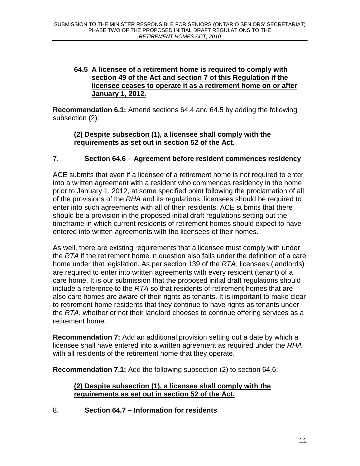## **64.5 A licensee of a retirement home is required to comply with section 49 of the Act and section 7 of this Regulation if the licensee ceases to operate it as a retirement home on or after January 1, 2012.**

**Recommendation 6.1:** Amend sections 64.4 and 64.5 by adding the following subsection (2):

### **(2) Despite subsection (1), a licensee shall comply with the requirements as set out in section 52 of the Act.**

## 7. **Section 64.6 – Agreement before resident commences residency**

ACE submits that even if a licensee of a retirement home is not required to enter into a written agreement with a resident who commences residency in the home prior to January 1, 2012, at some specified point following the proclamation of all of the provisions of the RHA and its regulations, licensees should be required to enter into such agreements with all of their residents. ACE submits that there should be a provision in the proposed initial draft regulations setting out the timeframe in which current residents of retirement homes should expect to have entered into written agreements with the licensees of their homes.

As well, there are existing requirements that a licensee must comply with under the RTA if the retirement home in question also falls under the definition of a care home under that legislation. As per section 139 of the RTA, licensees (landlords) are required to enter into written agreements with every resident (tenant) of a care home. It is our submission that the proposed initial draft regulations should include a reference to the  $RTA$  so that residents of retirement homes that are also care homes are aware of their rights as tenants. It is important to make clear to retirement home residents that they continue to have rights as tenants under the RTA, whether or not their landlord chooses to continue offering services as a retirement home.

**Recommendation 7:** Add an additional provision setting out a date by which a licensee shall have entered into a written agreement as required under the RHA with all residents of the retirement home that they operate.

**Recommendation 7.1:** Add the following subsection (2) to section 64.6:

## **(2) Despite subsection (1), a licensee shall comply with the requirements as set out in section 52 of the Act.**

8. **Section 64.7 – Information for residents**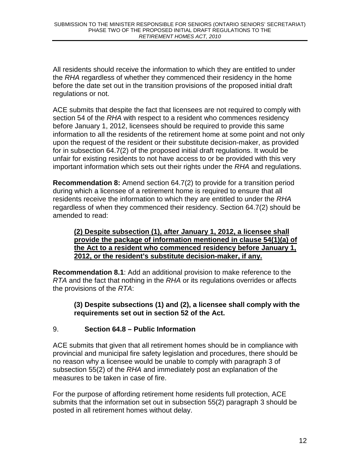All residents should receive the information to which they are entitled to under the RHA regardless of whether they commenced their residency in the home before the date set out in the transition provisions of the proposed initial draft regulations or not.

ACE submits that despite the fact that licensees are not required to comply with section 54 of the RHA with respect to a resident who commences residency before January 1, 2012, licensees should be required to provide this same information to all the residents of the retirement home at some point and not only upon the request of the resident or their substitute decision-maker, as provided for in subsection 64.7(2) of the proposed initial draft regulations. It would be unfair for existing residents to not have access to or be provided with this very important information which sets out their rights under the RHA and regulations.

**Recommendation 8:** Amend section 64.7(2) to provide for a transition period during which a licensee of a retirement home is required to ensure that all residents receive the information to which they are entitled to under the RHA regardless of when they commenced their residency. Section 64.7(2) should be amended to read:

#### **(2) Despite subsection (1), after January 1, 2012, a licensee shall provide the package of information mentioned in clause 54(1)(a) of the Act to a resident who commenced residency before January 1, 2012, or the resident's substitute decision-maker, if any.**

**Recommendation 8.1**: Add an additional provision to make reference to the RTA and the fact that nothing in the RHA or its regulations overrides or affects the provisions of the RTA:

## **(3) Despite subsections (1) and (2), a licensee shall comply with the requirements set out in section 52 of the Act.**

# 9. **Section 64.8 – Public Information**

ACE submits that given that all retirement homes should be in compliance with provincial and municipal fire safety legislation and procedures, there should be no reason why a licensee would be unable to comply with paragraph 3 of subsection 55(2) of the RHA and immediately post an explanation of the measures to be taken in case of fire.

For the purpose of affording retirement home residents full protection, ACE submits that the information set out in subsection 55(2) paragraph 3 should be posted in all retirement homes without delay.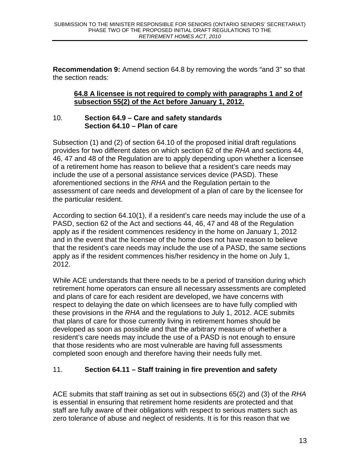**Recommendation 9:** Amend section 64.8 by removing the words "and 3" so that the section reads:

### **64.8 A licensee is not required to comply with paragraphs 1 and 2 of subsection 55(2) of the Act before January 1, 2012.**

### 10. **Section 64.9 – Care and safety standards Section 64.10 – Plan of care**

Subsection (1) and (2) of section 64.10 of the proposed initial draft regulations provides for two different dates on which section 62 of the RHA and sections 44, 46, 47 and 48 of the Regulation are to apply depending upon whether a licensee of a retirement home has reason to believe that a resident's care needs may include the use of a personal assistance services device (PASD). These aforementioned sections in the RHA and the Regulation pertain to the assessment of care needs and development of a plan of care by the licensee for the particular resident.

According to section 64.10(1), if a resident's care needs may include the use of a PASD, section 62 of the Act and sections 44, 46, 47 and 48 of the Regulation apply as if the resident commences residency in the home on January 1, 2012 and in the event that the licensee of the home does not have reason to believe that the resident's care needs may include the use of a PASD, the same sections apply as if the resident commences his/her residency in the home on July 1, 2012.

While ACE understands that there needs to be a period of transition during which retirement home operators can ensure all necessary assessments are completed and plans of care for each resident are developed, we have concerns with respect to delaying the date on which licensees are to have fully complied with these provisions in the RHA and the regulations to July 1, 2012. ACE submits that plans of care for those currently living in retirement homes should be developed as soon as possible and that the arbitrary measure of whether a resident's care needs may include the use of a PASD is not enough to ensure that those residents who are most vulnerable are having full assessments completed soon enough and therefore having their needs fully met.

# 11. **Section 64.11 – Staff training in fire prevention and safety**

ACE submits that staff training as set out in subsections 65(2) and (3) of the RHA is essential in ensuring that retirement home residents are protected and that staff are fully aware of their obligations with respect to serious matters such as zero tolerance of abuse and neglect of residents. It is for this reason that we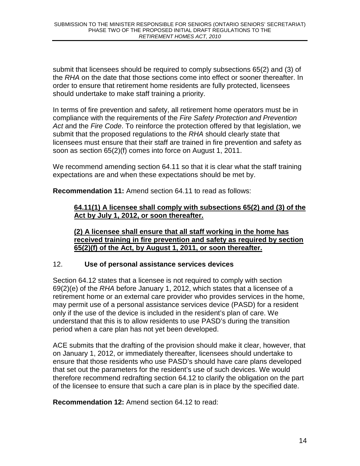submit that licensees should be required to comply subsections 65(2) and (3) of the RHA on the date that those sections come into effect or sooner thereafter. In order to ensure that retirement home residents are fully protected, licensees should undertake to make staff training a priority.

In terms of fire prevention and safety, all retirement home operators must be in compliance with the requirements of the Fire Safety Protection and Prevention Act and the Fire Code. To reinforce the protection offered by that legislation, we submit that the proposed regulations to the RHA should clearly state that licensees must ensure that their staff are trained in fire prevention and safety as soon as section 65(2)(f) comes into force on August 1, 2011.

We recommend amending section 64.11 so that it is clear what the staff training expectations are and when these expectations should be met by.

**Recommendation 11:** Amend section 64.11 to read as follows:

## **64.11(1) A licensee shall comply with subsections 65(2) and (3) of the Act by July 1, 2012, or soon thereafter.**

**(2) A licensee shall ensure that all staff working in the home has received training in fire prevention and safety as required by section 65(2)(f) of the Act, by August 1, 2011, or soon thereafter.** 

## 12. **Use of personal assistance services devices**

Section 64.12 states that a licensee is not required to comply with section 69(2)(e) of the RHA before January 1, 2012, which states that a licensee of a retirement home or an external care provider who provides services in the home, may permit use of a personal assistance services device (PASD) for a resident only if the use of the device is included in the resident's plan of care. We understand that this is to allow residents to use PASD's during the transition period when a care plan has not yet been developed.

ACE submits that the drafting of the provision should make it clear, however, that on January 1, 2012, or immediately thereafter, licensees should undertake to ensure that those residents who use PASD's should have care plans developed that set out the parameters for the resident's use of such devices. We would therefore recommend redrafting section 64.12 to clarify the obligation on the part of the licensee to ensure that such a care plan is in place by the specified date.

**Recommendation 12:** Amend section 64.12 to read: